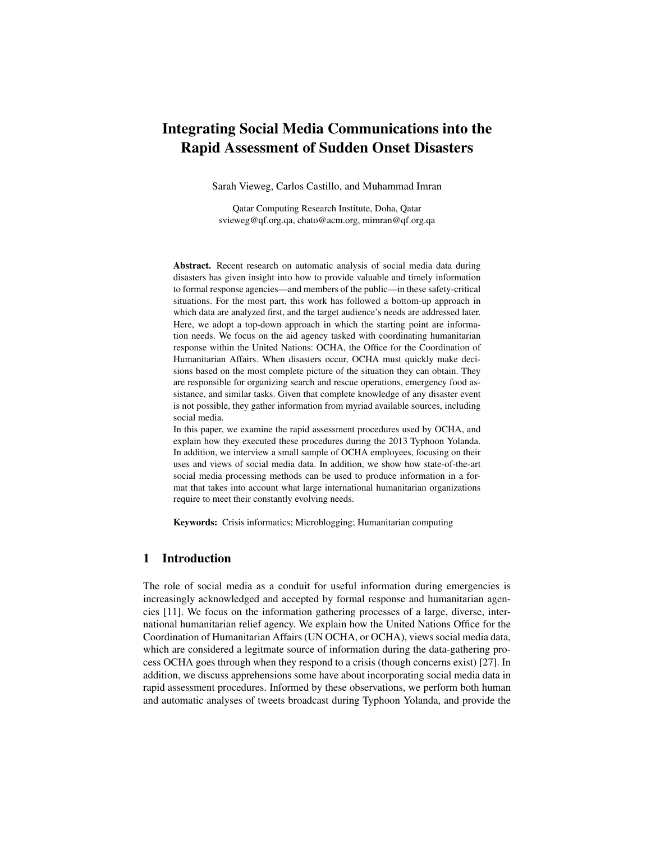# Integrating Social Media Communications into the Rapid Assessment of Sudden Onset Disasters

Sarah Vieweg, Carlos Castillo, and Muhammad Imran

Qatar Computing Research Institute, Doha, Qatar svieweg@qf.org.qa, chato@acm.org, mimran@qf.org.qa

Abstract. Recent research on automatic analysis of social media data during disasters has given insight into how to provide valuable and timely information to formal response agencies—and members of the public—in these safety-critical situations. For the most part, this work has followed a bottom-up approach in which data are analyzed first, and the target audience's needs are addressed later. Here, we adopt a top-down approach in which the starting point are information needs. We focus on the aid agency tasked with coordinating humanitarian response within the United Nations: OCHA, the Office for the Coordination of Humanitarian Affairs. When disasters occur, OCHA must quickly make decisions based on the most complete picture of the situation they can obtain. They are responsible for organizing search and rescue operations, emergency food assistance, and similar tasks. Given that complete knowledge of any disaster event is not possible, they gather information from myriad available sources, including social media.

In this paper, we examine the rapid assessment procedures used by OCHA, and explain how they executed these procedures during the 2013 Typhoon Yolanda. In addition, we interview a small sample of OCHA employees, focusing on their uses and views of social media data. In addition, we show how state-of-the-art social media processing methods can be used to produce information in a format that takes into account what large international humanitarian organizations require to meet their constantly evolving needs.

Keywords: Crisis informatics; Microblogging; Humanitarian computing

# 1 Introduction

The role of social media as a conduit for useful information during emergencies is increasingly acknowledged and accepted by formal response and humanitarian agencies [\[11\]](#page-14-0). We focus on the information gathering processes of a large, diverse, international humanitarian relief agency. We explain how the United Nations Office for the Coordination of Humanitarian Affairs (UN OCHA, or OCHA), views social media data, which are considered a legitmate source of information during the data-gathering process OCHA goes through when they respond to a crisis (though concerns exist) [\[27\]](#page-15-0). In addition, we discuss apprehensions some have about incorporating social media data in rapid assessment procedures. Informed by these observations, we perform both human and automatic analyses of tweets broadcast during Typhoon Yolanda, and provide the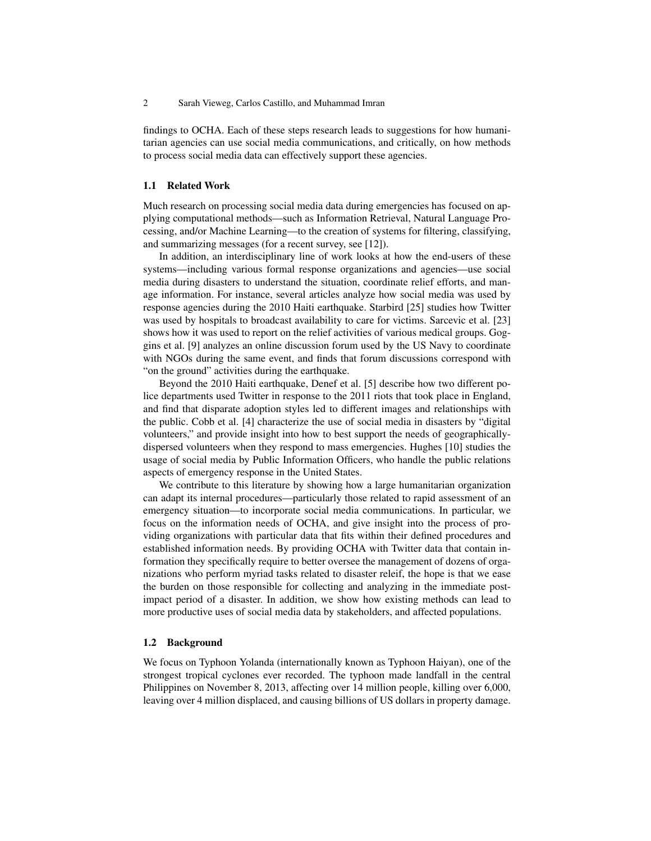findings to OCHA. Each of these steps research leads to suggestions for how humanitarian agencies can use social media communications, and critically, on how methods to process social media data can effectively support these agencies.

### 1.1 Related Work

Much research on processing social media data during emergencies has focused on applying computational methods—such as Information Retrieval, Natural Language Processing, and/or Machine Learning—to the creation of systems for filtering, classifying, and summarizing messages (for a recent survey, see [\[12\]](#page-14-1)).

In addition, an interdisciplinary line of work looks at how the end-users of these systems—including various formal response organizations and agencies—use social media during disasters to understand the situation, coordinate relief efforts, and manage information. For instance, several articles analyze how social media was used by response agencies during the 2010 Haiti earthquake. Starbird [\[25\]](#page-15-1) studies how Twitter was used by hospitals to broadcast availability to care for victims. Sarcevic et al. [\[23\]](#page-15-2) shows how it was used to report on the relief activities of various medical groups. Goggins et al. [\[9\]](#page-14-2) analyzes an online discussion forum used by the US Navy to coordinate with NGOs during the same event, and finds that forum discussions correspond with "on the ground" activities during the earthquake.

Beyond the 2010 Haiti earthquake, Denef et al. [\[5\]](#page-14-3) describe how two different police departments used Twitter in response to the 2011 riots that took place in England, and find that disparate adoption styles led to different images and relationships with the public. Cobb et al. [\[4\]](#page-14-4) characterize the use of social media in disasters by "digital volunteers," and provide insight into how to best support the needs of geographicallydispersed volunteers when they respond to mass emergencies. Hughes [\[10\]](#page-14-5) studies the usage of social media by Public Information Officers, who handle the public relations aspects of emergency response in the United States.

We contribute to this literature by showing how a large humanitarian organization can adapt its internal procedures—particularly those related to rapid assessment of an emergency situation—to incorporate social media communications. In particular, we focus on the information needs of OCHA, and give insight into the process of providing organizations with particular data that fits within their defined procedures and established information needs. By providing OCHA with Twitter data that contain information they specifically require to better oversee the management of dozens of organizations who perform myriad tasks related to disaster releif, the hope is that we ease the burden on those responsible for collecting and analyzing in the immediate postimpact period of a disaster. In addition, we show how existing methods can lead to more productive uses of social media data by stakeholders, and affected populations.

## 1.2 Background

We focus on Typhoon Yolanda (internationally known as Typhoon Haiyan), one of the strongest tropical cyclones ever recorded. The typhoon made landfall in the central Philippines on November 8, 2013, affecting over 14 million people, killing over 6,000, leaving over 4 million displaced, and causing billions of US dollars in property damage.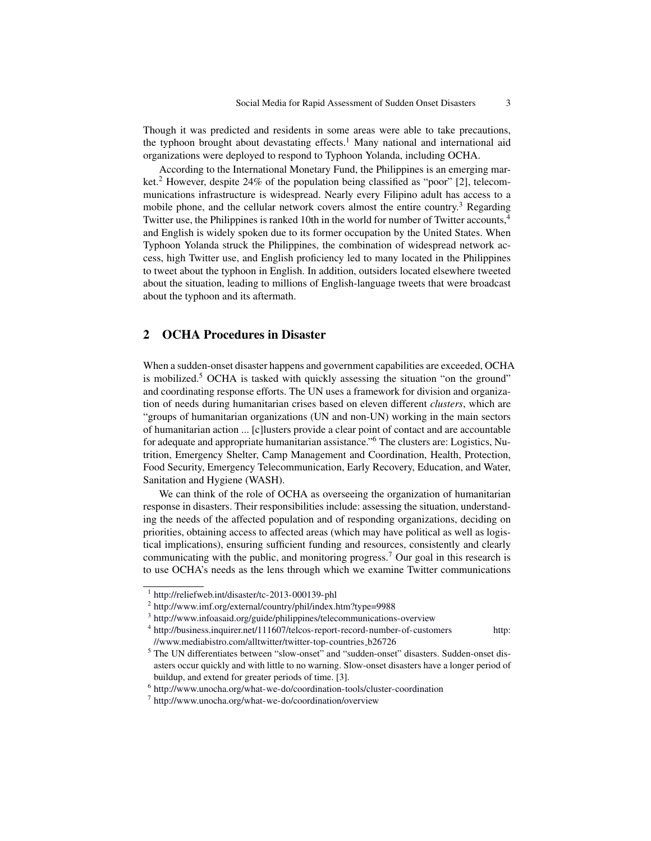Though it was predicted and residents in some areas were able to take precautions, the typhoon brought about devastating effects.<sup>[1](#page-2-0)</sup> Many national and international aid organizations were deployed to respond to Typhoon Yolanda, including OCHA.

According to the International Monetary Fund, the Philippines is an emerging mar-ket.<sup>[2](#page-2-1)</sup> However, despite  $24\%$  of the population being classified as "poor" [\[2\]](#page-14-6), telecommunications infrastructure is widespread. Nearly every Filipino adult has access to a mobile phone, and the cellular network covers almost the entire country.<sup>[3](#page-2-2)</sup> Regarding Twitter use, the Philippines is ranked 10th in the world for number of Twitter accounts,[4](#page-2-3) and English is widely spoken due to its former occupation by the United States. When Typhoon Yolanda struck the Philippines, the combination of widespread network access, high Twitter use, and English proficiency led to many located in the Philippines to tweet about the typhoon in English. In addition, outsiders located elsewhere tweeted about the situation, leading to millions of English-language tweets that were broadcast about the typhoon and its aftermath.

# 2 OCHA Procedures in Disaster

When a sudden-onset disaster happens and government capabilities are exceeded, OCHA is mobilized.<sup>[5](#page-2-4)</sup> OCHA is tasked with quickly assessing the situation "on the ground" and coordinating response efforts. The UN uses a framework for division and organization of needs during humanitarian crises based on eleven different *clusters*, which are "groups of humanitarian organizations (UN and non-UN) working in the main sectors of humanitarian action ... [c]lusters provide a clear point of contact and are accountable for adequate and appropriate humanitarian assistance."[6](#page-2-5) The clusters are: Logistics, Nutrition, Emergency Shelter, Camp Management and Coordination, Health, Protection, Food Security, Emergency Telecommunication, Early Recovery, Education, and Water, Sanitation and Hygiene (WASH).

We can think of the role of OCHA as overseeing the organization of humanitarian response in disasters. Their responsibilities include: assessing the situation, understanding the needs of the affected population and of responding organizations, deciding on priorities, obtaining access to affected areas (which may have political as well as logistical implications), ensuring sufficient funding and resources, consistently and clearly communicating with the public, and monitoring progress.[7](#page-2-6) Our goal in this research is to use OCHA's needs as the lens through which we examine Twitter communications

<span id="page-2-0"></span><sup>1</sup> <http://reliefweb.int/disaster/tc-2013-000139-phl>

<span id="page-2-1"></span><sup>2</sup> <http://www.imf.org/external/country/phil/index.htm?type=9988>

<span id="page-2-2"></span><sup>&</sup>lt;sup>3</sup> <http://www.infoasaid.org/guide/philippines/telecommunications-overview>

<span id="page-2-3"></span><sup>&</sup>lt;sup>4</sup> <http://business.inquirer.net/111607/telcos-report-record-number-of-customers> [http:](http://www.mediabistro.com/alltwitter/twitter-top-countries_b26726) [//www.mediabistro.com/alltwitter/twitter-top-countries](http://www.mediabistro.com/alltwitter/twitter-top-countries_b26726) b26726

<span id="page-2-4"></span> $5$  The UN differentiates between "slow-onset" and "sudden-onset" disasters. Sudden-onset disasters occur quickly and with little to no warning. Slow-onset disasters have a longer period of buildup, and extend for greater periods of time. [\[3\]](#page-14-7).

<span id="page-2-5"></span><sup>6</sup> <http://www.unocha.org/what-we-do/coordination-tools/cluster-coordination>

<span id="page-2-6"></span><sup>7</sup> <http://www.unocha.org/what-we-do/coordination/overview>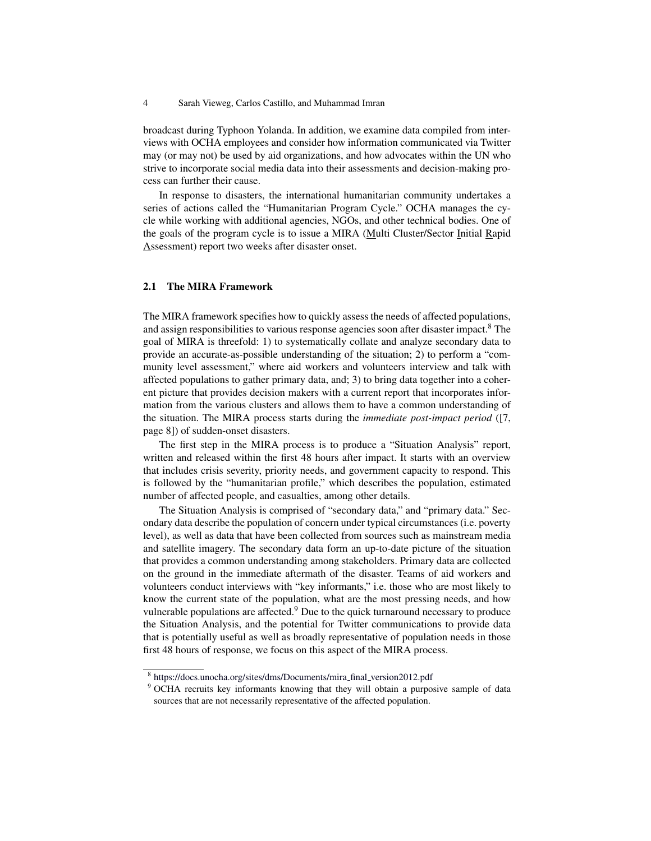broadcast during Typhoon Yolanda. In addition, we examine data compiled from interviews with OCHA employees and consider how information communicated via Twitter may (or may not) be used by aid organizations, and how advocates within the UN who strive to incorporate social media data into their assessments and decision-making process can further their cause.

In response to disasters, the international humanitarian community undertakes a series of actions called the "Humanitarian Program Cycle." OCHA manages the cycle while working with additional agencies, NGOs, and other technical bodies. One of the goals of the program cycle is to issue a MIRA (Multi Cluster/Sector Initial Rapid Assessment) report two weeks after disaster onset.

## 2.1 The MIRA Framework

The MIRA framework specifies how to quickly assess the needs of affected populations, and assign responsibilities to various response agencies soon after disaster impact.[8](#page-3-0) The goal of MIRA is threefold: 1) to systematically collate and analyze secondary data to provide an accurate-as-possible understanding of the situation; 2) to perform a "community level assessment," where aid workers and volunteers interview and talk with affected populations to gather primary data, and; 3) to bring data together into a coherent picture that provides decision makers with a current report that incorporates information from the various clusters and allows them to have a common understanding of the situation. The MIRA process starts during the *immediate post-impact period* ([\[7,](#page-14-8) page 8]) of sudden-onset disasters.

The first step in the MIRA process is to produce a "Situation Analysis" report, written and released within the first 48 hours after impact. It starts with an overview that includes crisis severity, priority needs, and government capacity to respond. This is followed by the "humanitarian profile," which describes the population, estimated number of affected people, and casualties, among other details.

The Situation Analysis is comprised of "secondary data," and "primary data." Secondary data describe the population of concern under typical circumstances (i.e. poverty level), as well as data that have been collected from sources such as mainstream media and satellite imagery. The secondary data form an up-to-date picture of the situation that provides a common understanding among stakeholders. Primary data are collected on the ground in the immediate aftermath of the disaster. Teams of aid workers and volunteers conduct interviews with "key informants," i.e. those who are most likely to know the current state of the population, what are the most pressing needs, and how vulnerable populations are affected.<sup>[9](#page-3-1)</sup> Due to the quick turnaround necessary to produce the Situation Analysis, and the potential for Twitter communications to provide data that is potentially useful as well as broadly representative of population needs in those first 48 hours of response, we focus on this aspect of the MIRA process.

<span id="page-3-0"></span><sup>8</sup> [https://docs.unocha.org/sites/dms/Documents/mira](https://docs.unocha.org/sites/dms/Documents/mira_final_version2012.pdf) final version2012.pdf

<span id="page-3-1"></span><sup>&</sup>lt;sup>9</sup> OCHA recruits key informants knowing that they will obtain a purposive sample of data sources that are not necessarily representative of the affected population.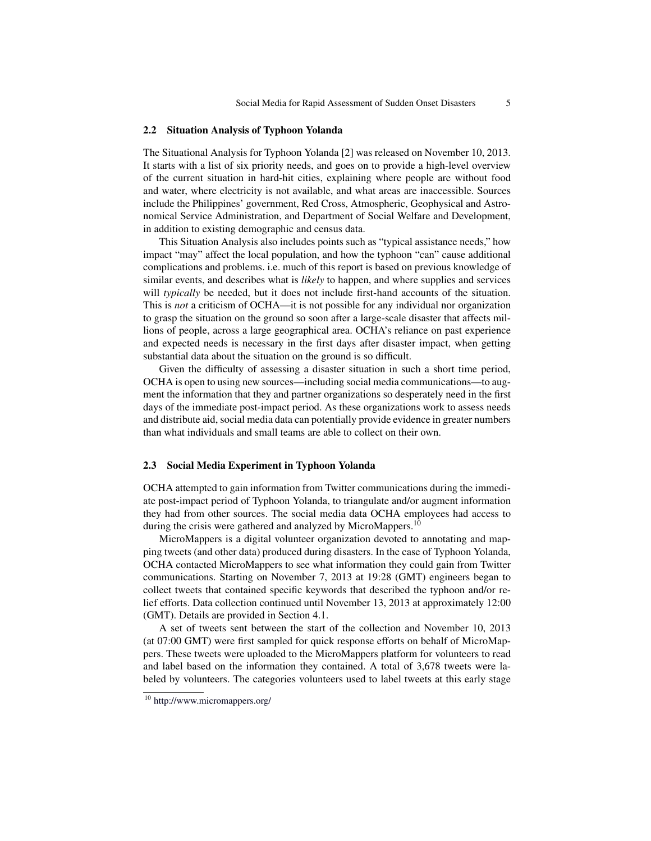#### 2.2 Situation Analysis of Typhoon Yolanda

The Situational Analysis for Typhoon Yolanda [\[2\]](#page-14-6) was released on November 10, 2013. It starts with a list of six priority needs, and goes on to provide a high-level overview of the current situation in hard-hit cities, explaining where people are without food and water, where electricity is not available, and what areas are inaccessible. Sources include the Philippines' government, Red Cross, Atmospheric, Geophysical and Astronomical Service Administration, and Department of Social Welfare and Development, in addition to existing demographic and census data.

This Situation Analysis also includes points such as "typical assistance needs," how impact "may" affect the local population, and how the typhoon "can" cause additional complications and problems. i.e. much of this report is based on previous knowledge of similar events, and describes what is *likely* to happen, and where supplies and services will *typically* be needed, but it does not include first-hand accounts of the situation. This is *not* a criticism of OCHA—it is not possible for any individual nor organization to grasp the situation on the ground so soon after a large-scale disaster that affects millions of people, across a large geographical area. OCHA's reliance on past experience and expected needs is necessary in the first days after disaster impact, when getting substantial data about the situation on the ground is so difficult.

Given the difficulty of assessing a disaster situation in such a short time period, OCHA is open to using new sources—including social media communications—to augment the information that they and partner organizations so desperately need in the first days of the immediate post-impact period. As these organizations work to assess needs and distribute aid, social media data can potentially provide evidence in greater numbers than what individuals and small teams are able to collect on their own.

## 2.3 Social Media Experiment in Typhoon Yolanda

OCHA attempted to gain information from Twitter communications during the immediate post-impact period of Typhoon Yolanda, to triangulate and/or augment information they had from other sources. The social media data OCHA employees had access to during the crisis were gathered and analyzed by MicroMappers.<sup>[10](#page-4-0)</sup>

MicroMappers is a digital volunteer organization devoted to annotating and mapping tweets (and other data) produced during disasters. In the case of Typhoon Yolanda, OCHA contacted MicroMappers to see what information they could gain from Twitter communications. Starting on November 7, 2013 at 19:28 (GMT) engineers began to collect tweets that contained specific keywords that described the typhoon and/or relief efforts. Data collection continued until November 13, 2013 at approximately 12:00 (GMT). Details are provided in Section [4.1.](#page-8-0)

A set of tweets sent between the start of the collection and November 10, 2013 (at 07:00 GMT) were first sampled for quick response efforts on behalf of MicroMappers. These tweets were uploaded to the MicroMappers platform for volunteers to read and label based on the information they contained. A total of 3,678 tweets were labeled by volunteers. The categories volunteers used to label tweets at this early stage

<span id="page-4-0"></span><sup>10</sup> <http://www.micromappers.org/>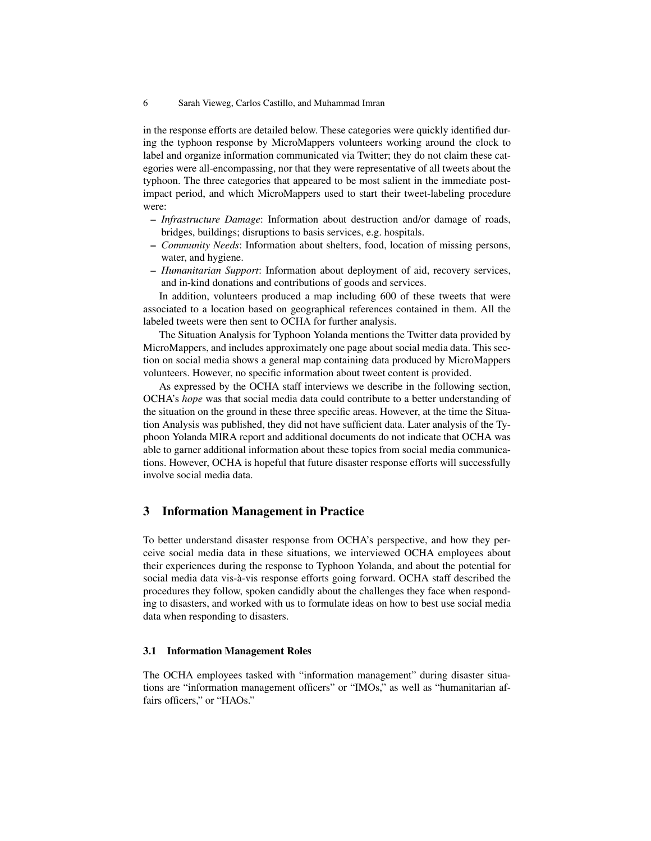in the response efforts are detailed below. These categories were quickly identified during the typhoon response by MicroMappers volunteers working around the clock to label and organize information communicated via Twitter; they do not claim these categories were all-encompassing, nor that they were representative of all tweets about the typhoon. The three categories that appeared to be most salient in the immediate postimpact period, and which MicroMappers used to start their tweet-labeling procedure were:

- *Infrastructure Damage*: Information about destruction and/or damage of roads, bridges, buildings; disruptions to basis services, e.g. hospitals.
- *Community Needs*: Information about shelters, food, location of missing persons, water, and hygiene.
- *Humanitarian Support*: Information about deployment of aid, recovery services, and in-kind donations and contributions of goods and services.

In addition, volunteers produced a map including 600 of these tweets that were associated to a location based on geographical references contained in them. All the labeled tweets were then sent to OCHA for further analysis.

The Situation Analysis for Typhoon Yolanda mentions the Twitter data provided by MicroMappers, and includes approximately one page about social media data. This section on social media shows a general map containing data produced by MicroMappers volunteers. However, no specific information about tweet content is provided.

As expressed by the OCHA staff interviews we describe in the following section, OCHA's *hope* was that social media data could contribute to a better understanding of the situation on the ground in these three specific areas. However, at the time the Situation Analysis was published, they did not have sufficient data. Later analysis of the Typhoon Yolanda MIRA report and additional documents do not indicate that OCHA was able to garner additional information about these topics from social media communications. However, OCHA is hopeful that future disaster response efforts will successfully involve social media data.

# 3 Information Management in Practice

To better understand disaster response from OCHA's perspective, and how they perceive social media data in these situations, we interviewed OCHA employees about their experiences during the response to Typhoon Yolanda, and about the potential for social media data vis-à-vis response efforts going forward. OCHA staff described the procedures they follow, spoken candidly about the challenges they face when responding to disasters, and worked with us to formulate ideas on how to best use social media data when responding to disasters.

### 3.1 Information Management Roles

The OCHA employees tasked with "information management" during disaster situations are "information management officers" or "IMOs," as well as "humanitarian affairs officers," or "HAOs."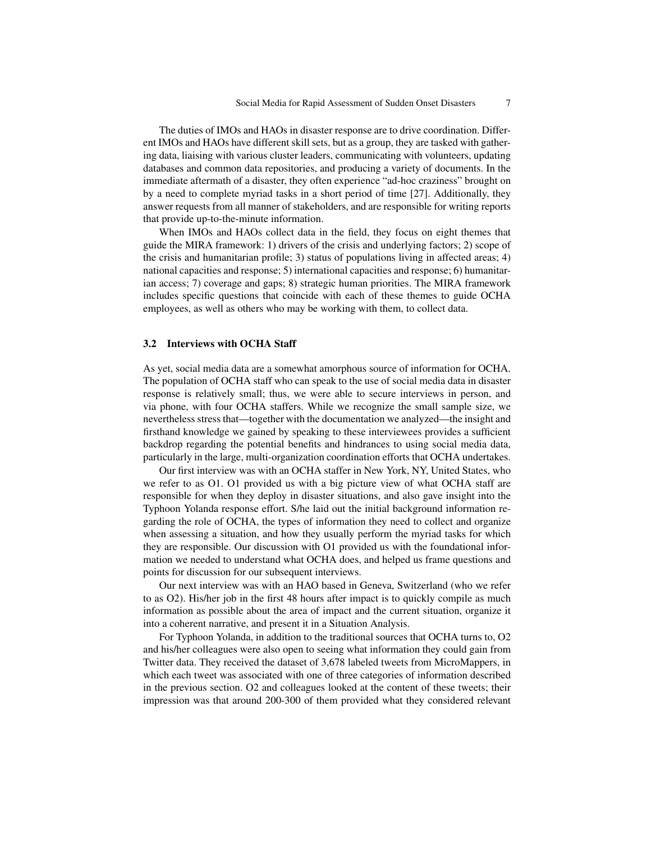The duties of IMOs and HAOs in disaster response are to drive coordination. Different IMOs and HAOs have different skill sets, but as a group, they are tasked with gathering data, liaising with various cluster leaders, communicating with volunteers, updating databases and common data repositories, and producing a variety of documents. In the immediate aftermath of a disaster, they often experience "ad-hoc craziness" brought on by a need to complete myriad tasks in a short period of time [\[27\]](#page-15-0). Additionally, they answer requests from all manner of stakeholders, and are responsible for writing reports that provide up-to-the-minute information.

When IMOs and HAOs collect data in the field, they focus on eight themes that guide the MIRA framework: 1) drivers of the crisis and underlying factors; 2) scope of the crisis and humanitarian profile; 3) status of populations living in affected areas; 4) national capacities and response; 5) international capacities and response; 6) humanitarian access; 7) coverage and gaps; 8) strategic human priorities. The MIRA framework includes specific questions that coincide with each of these themes to guide OCHA employees, as well as others who may be working with them, to collect data.

#### 3.2 Interviews with OCHA Staff

As yet, social media data are a somewhat amorphous source of information for OCHA. The population of OCHA staff who can speak to the use of social media data in disaster response is relatively small; thus, we were able to secure interviews in person, and via phone, with four OCHA staffers. While we recognize the small sample size, we nevertheless stress that—together with the documentation we analyzed—the insight and firsthand knowledge we gained by speaking to these interviewees provides a sufficient backdrop regarding the potential benefits and hindrances to using social media data, particularly in the large, multi-organization coordination efforts that OCHA undertakes.

Our first interview was with an OCHA staffer in New York, NY, United States, who we refer to as O1. O1 provided us with a big picture view of what OCHA staff are responsible for when they deploy in disaster situations, and also gave insight into the Typhoon Yolanda response effort. S/he laid out the initial background information regarding the role of OCHA, the types of information they need to collect and organize when assessing a situation, and how they usually perform the myriad tasks for which they are responsible. Our discussion with O1 provided us with the foundational information we needed to understand what OCHA does, and helped us frame questions and points for discussion for our subsequent interviews.

Our next interview was with an HAO based in Geneva, Switzerland (who we refer to as O2). His/her job in the first 48 hours after impact is to quickly compile as much information as possible about the area of impact and the current situation, organize it into a coherent narrative, and present it in a Situation Analysis.

For Typhoon Yolanda, in addition to the traditional sources that OCHA turns to, O2 and his/her colleagues were also open to seeing what information they could gain from Twitter data. They received the dataset of 3,678 labeled tweets from MicroMappers, in which each tweet was associated with one of three categories of information described in the previous section. O2 and colleagues looked at the content of these tweets; their impression was that around 200-300 of them provided what they considered relevant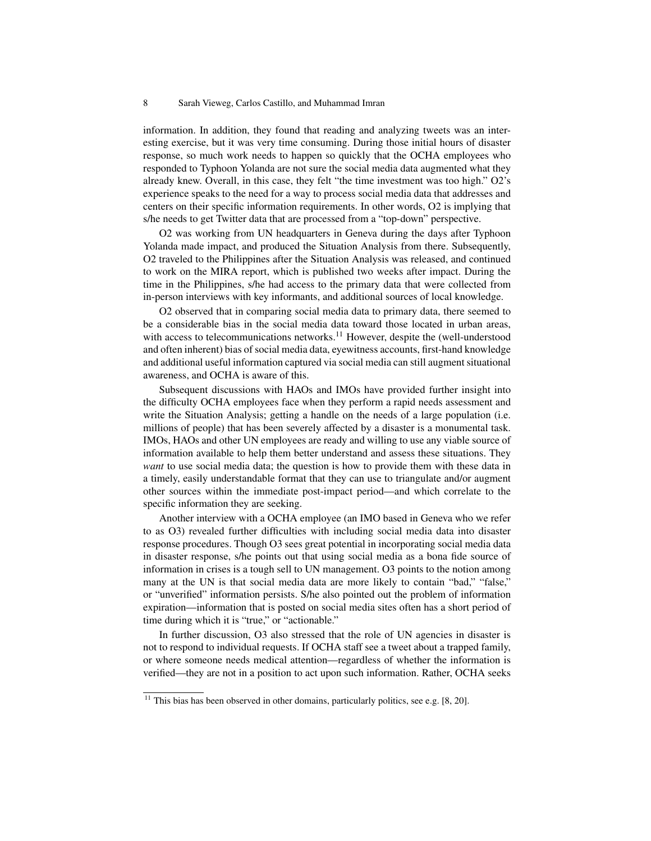information. In addition, they found that reading and analyzing tweets was an interesting exercise, but it was very time consuming. During those initial hours of disaster response, so much work needs to happen so quickly that the OCHA employees who responded to Typhoon Yolanda are not sure the social media data augmented what they already knew. Overall, in this case, they felt "the time investment was too high." O2's experience speaks to the need for a way to process social media data that addresses and centers on their specific information requirements. In other words, O2 is implying that s/he needs to get Twitter data that are processed from a "top-down" perspective.

O2 was working from UN headquarters in Geneva during the days after Typhoon Yolanda made impact, and produced the Situation Analysis from there. Subsequently, O2 traveled to the Philippines after the Situation Analysis was released, and continued to work on the MIRA report, which is published two weeks after impact. During the time in the Philippines, s/he had access to the primary data that were collected from in-person interviews with key informants, and additional sources of local knowledge.

O2 observed that in comparing social media data to primary data, there seemed to be a considerable bias in the social media data toward those located in urban areas, with access to telecommunications networks.<sup>[11](#page-7-0)</sup> However, despite the (well-understood and often inherent) bias of social media data, eyewitness accounts, first-hand knowledge and additional useful information captured via social media can still augment situational awareness, and OCHA is aware of this.

Subsequent discussions with HAOs and IMOs have provided further insight into the difficulty OCHA employees face when they perform a rapid needs assessment and write the Situation Analysis; getting a handle on the needs of a large population (i.e. millions of people) that has been severely affected by a disaster is a monumental task. IMOs, HAOs and other UN employees are ready and willing to use any viable source of information available to help them better understand and assess these situations. They *want* to use social media data; the question is how to provide them with these data in a timely, easily understandable format that they can use to triangulate and/or augment other sources within the immediate post-impact period—and which correlate to the specific information they are seeking.

Another interview with a OCHA employee (an IMO based in Geneva who we refer to as O3) revealed further difficulties with including social media data into disaster response procedures. Though O3 sees great potential in incorporating social media data in disaster response, s/he points out that using social media as a bona fide source of information in crises is a tough sell to UN management. O3 points to the notion among many at the UN is that social media data are more likely to contain "bad," "false," or "unverified" information persists. S/he also pointed out the problem of information expiration—information that is posted on social media sites often has a short period of time during which it is "true," or "actionable."

In further discussion, O3 also stressed that the role of UN agencies in disaster is not to respond to individual requests. If OCHA staff see a tweet about a trapped family, or where someone needs medical attention—regardless of whether the information is verified—they are not in a position to act upon such information. Rather, OCHA seeks

<span id="page-7-0"></span> $11$  This bias has been observed in other domains, particularly politics, see e.g. [\[8,](#page-14-9) [20\]](#page-15-3).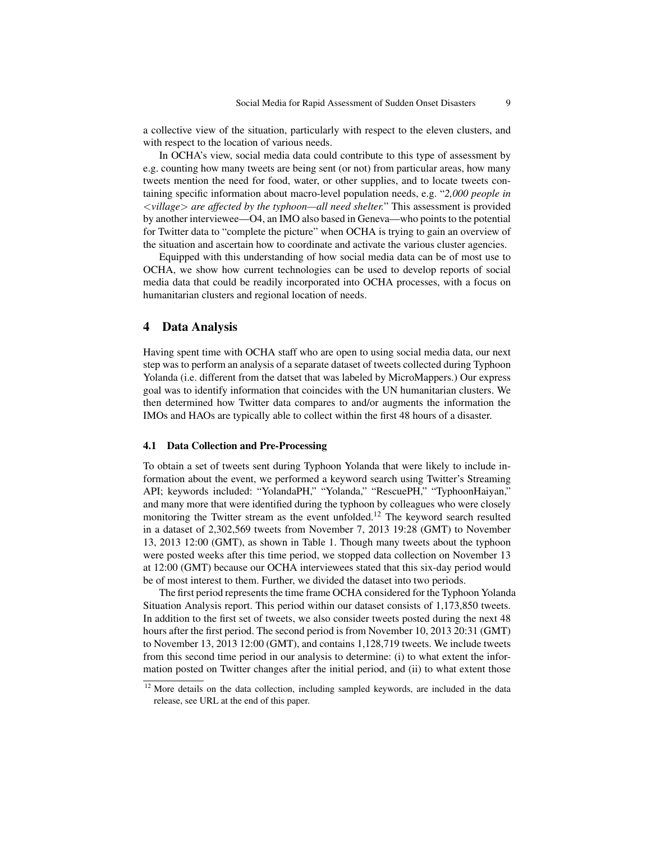a collective view of the situation, particularly with respect to the eleven clusters, and with respect to the location of various needs.

In OCHA's view, social media data could contribute to this type of assessment by e.g. counting how many tweets are being sent (or not) from particular areas, how many tweets mention the need for food, water, or other supplies, and to locate tweets containing specific information about macro-level population needs, e.g. "*2,000 people in* <*village*> *are affected by the typhoon—all need shelter.*" This assessment is provided by another interviewee—O4, an IMO also based in Geneva—who points to the potential for Twitter data to "complete the picture" when OCHA is trying to gain an overview of the situation and ascertain how to coordinate and activate the various cluster agencies.

Equipped with this understanding of how social media data can be of most use to OCHA, we show how current technologies can be used to develop reports of social media data that could be readily incorporated into OCHA processes, with a focus on humanitarian clusters and regional location of needs.

## 4 Data Analysis

Having spent time with OCHA staff who are open to using social media data, our next step was to perform an analysis of a separate dataset of tweets collected during Typhoon Yolanda (i.e. different from the datset that was labeled by MicroMappers.) Our express goal was to identify information that coincides with the UN humanitarian clusters. We then determined how Twitter data compares to and/or augments the information the IMOs and HAOs are typically able to collect within the first 48 hours of a disaster.

## <span id="page-8-0"></span>4.1 Data Collection and Pre-Processing

To obtain a set of tweets sent during Typhoon Yolanda that were likely to include information about the event, we performed a keyword search using Twitter's Streaming API; keywords included: "YolandaPH," "Yolanda," "RescuePH," "TyphoonHaiyan," and many more that were identified during the typhoon by colleagues who were closely monitoring the Twitter stream as the event unfolded.<sup>[12](#page-8-1)</sup> The keyword search resulted in a dataset of 2,302,569 tweets from November 7, 2013 19:28 (GMT) to November 13, 2013 12:00 (GMT), as shown in Table [1.](#page-9-0) Though many tweets about the typhoon were posted weeks after this time period, we stopped data collection on November 13 at 12:00 (GMT) because our OCHA interviewees stated that this six-day period would be of most interest to them. Further, we divided the dataset into two periods.

The first period represents the time frame OCHA considered for the Typhoon Yolanda Situation Analysis report. This period within our dataset consists of 1,173,850 tweets. In addition to the first set of tweets, we also consider tweets posted during the next 48 hours after the first period. The second period is from November 10, 2013 20:31 (GMT) to November 13, 2013 12:00 (GMT), and contains 1,128,719 tweets. We include tweets from this second time period in our analysis to determine: (i) to what extent the information posted on Twitter changes after the initial period, and (ii) to what extent those

<span id="page-8-1"></span><sup>&</sup>lt;sup>12</sup> More details on the data collection, including sampled keywords, are included in the data release, see URL at the end of this paper.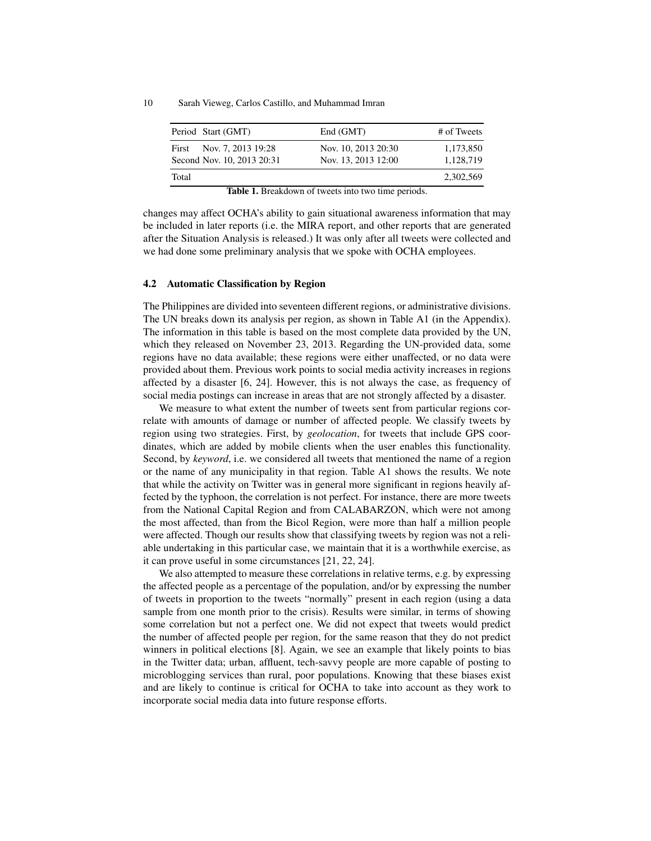10 Sarah Vieweg, Carlos Castillo, and Muhammad Imran

| Period Start (GMT)                                     | End (GMT)                                  | # of Tweets            |
|--------------------------------------------------------|--------------------------------------------|------------------------|
| First Nov. 7, 2013 19:28<br>Second Nov. 10, 2013 20:31 | Nov. 10, 2013 20:30<br>Nov. 13, 2013 12:00 | 1,173,850<br>1,128,719 |
| Total                                                  |                                            | 2,302,569              |

<span id="page-9-0"></span>Table 1. Breakdown of tweets into two time periods.

changes may affect OCHA's ability to gain situational awareness information that may be included in later reports (i.e. the MIRA report, and other reports that are generated after the Situation Analysis is released.) It was only after all tweets were collected and we had done some preliminary analysis that we spoke with OCHA employees.

#### 4.2 Automatic Classification by Region

The Philippines are divided into seventeen different regions, or administrative divisions. The UN breaks down its analysis per region, as shown in Table [A1](#page-16-0) (in the Appendix). The information in this table is based on the most complete data provided by the UN, which they released on November 23, 2013. Regarding the UN-provided data, some regions have no data available; these regions were either unaffected, or no data were provided about them. Previous work points to social media activity increases in regions affected by a disaster [\[6,](#page-14-10) [24\]](#page-15-4). However, this is not always the case, as frequency of social media postings can increase in areas that are not strongly affected by a disaster.

We measure to what extent the number of tweets sent from particular regions correlate with amounts of damage or number of affected people. We classify tweets by region using two strategies. First, by *geolocation*, for tweets that include GPS coordinates, which are added by mobile clients when the user enables this functionality. Second, by *keyword*, i.e. we considered all tweets that mentioned the name of a region or the name of any municipality in that region. Table [A1](#page-16-0) shows the results. We note that while the activity on Twitter was in general more significant in regions heavily affected by the typhoon, the correlation is not perfect. For instance, there are more tweets from the National Capital Region and from CALABARZON, which were not among the most affected, than from the Bicol Region, were more than half a million people were affected. Though our results show that classifying tweets by region was not a reliable undertaking in this particular case, we maintain that it is a worthwhile exercise, as it can prove useful in some circumstances [\[21,](#page-15-5) [22,](#page-15-6) [24\]](#page-15-4).

We also attempted to measure these correlations in relative terms, e.g. by expressing the affected people as a percentage of the population, and/or by expressing the number of tweets in proportion to the tweets "normally" present in each region (using a data sample from one month prior to the crisis). Results were similar, in terms of showing some correlation but not a perfect one. We did not expect that tweets would predict the number of affected people per region, for the same reason that they do not predict winners in political elections [\[8\]](#page-14-9). Again, we see an example that likely points to bias in the Twitter data; urban, affluent, tech-savvy people are more capable of posting to microblogging services than rural, poor populations. Knowing that these biases exist and are likely to continue is critical for OCHA to take into account as they work to incorporate social media data into future response efforts.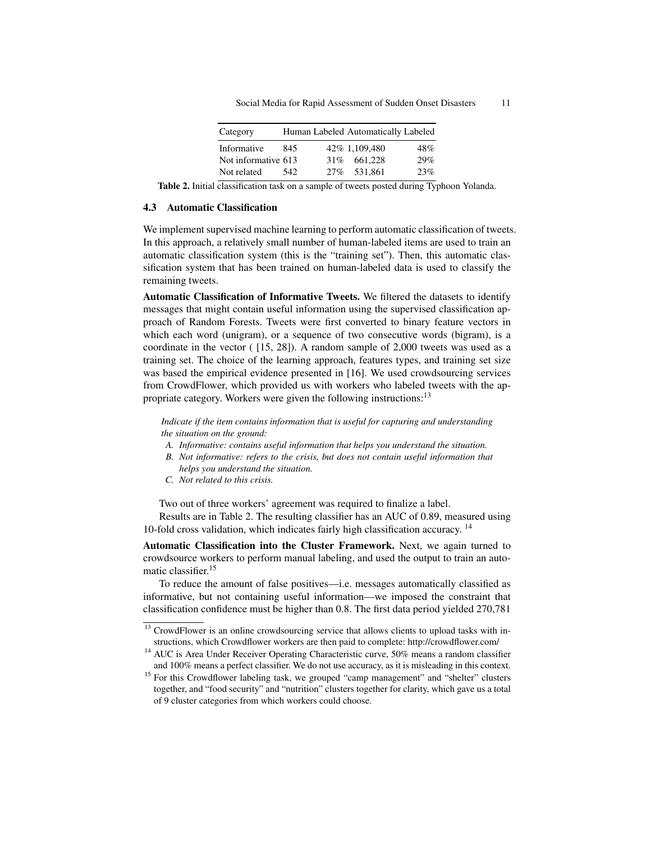| Category            |      |      | Human Labeled Automatically Labeled |     |
|---------------------|------|------|-------------------------------------|-----|
| Informative         | 845  |      | 42% 1,109,480                       | 48% |
| Not informative 613 |      | 31\% | 661.228                             | 29% |
| Not related         | 542. |      | 27\% 531,861                        | 23% |

<span id="page-10-1"></span>Table 2. Initial classification task on a sample of tweets posted during Typhoon Yolanda.

## 4.3 Automatic Classification

We implement supervised machine learning to perform automatic classification of tweets. In this approach, a relatively small number of human-labeled items are used to train an automatic classification system (this is the "training set"). Then, this automatic classification system that has been trained on human-labeled data is used to classify the remaining tweets.

Automatic Classification of Informative Tweets. We filtered the datasets to identify messages that might contain useful information using the supervised classification approach of Random Forests. Tweets were first converted to binary feature vectors in which each word (unigram), or a sequence of two consecutive words (bigram), is a coordinate in the vector  $(15, 28)$ . A random sample of 2,000 tweets was used as a training set. The choice of the learning approach, features types, and training set size was based the empirical evidence presented in [\[16\]](#page-15-8). We used crowdsourcing services from CrowdFlower, which provided us with workers who labeled tweets with the ap-propriate category. Workers were given the following instructions:<sup>[13](#page-10-0)</sup>

*Indicate if the item contains information that is useful for capturing and understanding the situation on the ground:*

- *A. Informative: contains useful information that helps you understand the situation.*
- *B. Not informative: refers to the crisis, but does not contain useful information that helps you understand the situation.*
- *C. Not related to this crisis.*

Two out of three workers' agreement was required to finalize a label.

Results are in Table [2.](#page-10-1) The resulting classifier has an AUC of 0.89, measured using 10-fold cross validation, which indicates fairly high classification accuracy. <sup>[14](#page-10-2)</sup>

Automatic Classification into the Cluster Framework. Next, we again turned to crowdsource workers to perform manual labeling, and used the output to train an auto-matic classifier.<sup>[15](#page-10-3)</sup>

To reduce the amount of false positives—i.e. messages automatically classified as informative, but not containing useful information—we imposed the constraint that classification confidence must be higher than 0.8. The first data period yielded 270,781

<span id="page-10-0"></span><sup>&</sup>lt;sup>13</sup> CrowdFlower is an online crowdsourcing service that allows clients to upload tasks with instructions, which Crowdflower workers are then paid to complete: <http://crowdflower.com/>

<span id="page-10-2"></span><sup>&</sup>lt;sup>14</sup> AUC is Area Under Receiver Operating Characteristic curve, 50% means a random classifier and 100% means a perfect classifier. We do not use accuracy, as it is misleading in this context.

<span id="page-10-3"></span><sup>&</sup>lt;sup>15</sup> For this Crowdflower labeling task, we grouped "camp management" and "shelter" clusters together, and "food security" and "nutrition" clusters together for clarity, which gave us a total of 9 cluster categories from which workers could choose.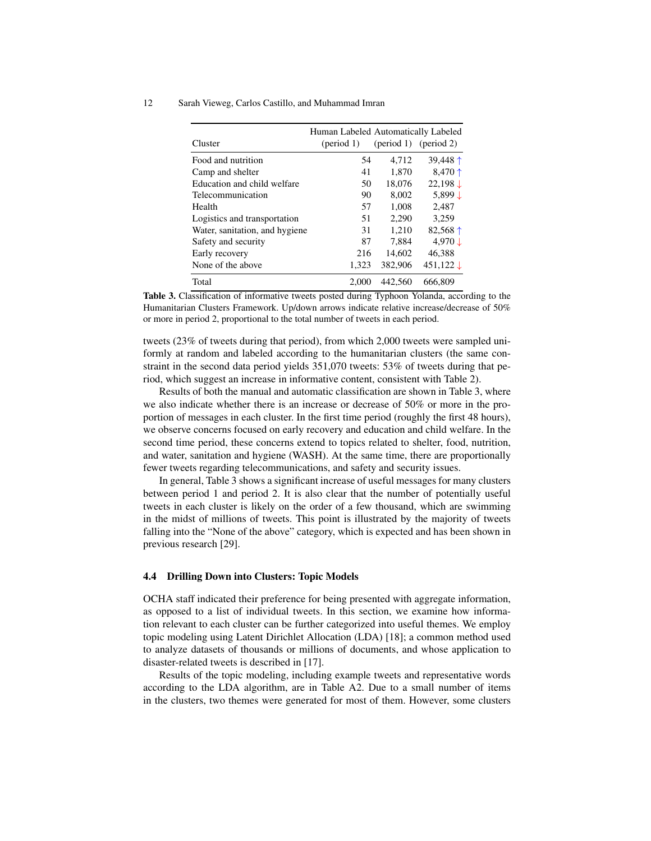| Cluster                        | Human Labeled Automatically Labeled<br>(period 1) |         | $(period 1)$ $(period 2)$ |
|--------------------------------|---------------------------------------------------|---------|---------------------------|
| Food and nutrition             | 54                                                | 4.712   | 39.448 $\dagger$          |
| Camp and shelter               | 41                                                | 1,870   | $8,470 \uparrow$          |
| Education and child welfare    | 50                                                | 18,076  | $22,198 \downarrow$       |
| Telecommunication              | 90                                                | 8.002   | 5,899 $\downarrow$        |
| Health                         | 57                                                | 1.008   | 2.487                     |
| Logistics and transportation   | 51                                                | 2,290   | 3,259                     |
| Water, sanitation, and hygiene | 31                                                | 1,210   | 82,568 $\dagger$          |
| Safety and security            | 87                                                | 7.884   | 4,970 $\downarrow$        |
| Early recovery                 | 216                                               | 14.602  | 46,388                    |
| None of the above              | 1,323                                             | 382,906 | $451,122 \downarrow$      |
| Total                          | 2.000                                             | 442.560 | 666.809                   |

<span id="page-11-0"></span>Table 3. Classification of informative tweets posted during Typhoon Yolanda, according to the Humanitarian Clusters Framework. Up/down arrows indicate relative increase/decrease of 50% or more in period 2, proportional to the total number of tweets in each period.

tweets (23% of tweets during that period), from which 2,000 tweets were sampled uniformly at random and labeled according to the humanitarian clusters (the same constraint in the second data period yields 351,070 tweets: 53% of tweets during that period, which suggest an increase in informative content, consistent with Table [2\)](#page-10-1).

Results of both the manual and automatic classification are shown in Table [3,](#page-11-0) where we also indicate whether there is an increase or decrease of 50% or more in the proportion of messages in each cluster. In the first time period (roughly the first 48 hours), we observe concerns focused on early recovery and education and child welfare. In the second time period, these concerns extend to topics related to shelter, food, nutrition, and water, sanitation and hygiene (WASH). At the same time, there are proportionally fewer tweets regarding telecommunications, and safety and security issues.

In general, Table [3](#page-11-0) shows a significant increase of useful messages for many clusters between period 1 and period 2. It is also clear that the number of potentially useful tweets in each cluster is likely on the order of a few thousand, which are swimming in the midst of millions of tweets. This point is illustrated by the majority of tweets falling into the "None of the above" category, which is expected and has been shown in previous research [\[29\]](#page-15-9).

## 4.4 Drilling Down into Clusters: Topic Models

OCHA staff indicated their preference for being presented with aggregate information, as opposed to a list of individual tweets. In this section, we examine how information relevant to each cluster can be further categorized into useful themes. We employ topic modeling using Latent Dirichlet Allocation (LDA) [\[18\]](#page-15-10); a common method used to analyze datasets of thousands or millions of documents, and whose application to disaster-related tweets is described in [\[17\]](#page-15-11).

Results of the topic modeling, including example tweets and representative words according to the LDA algorithm, are in Table [A2.](#page-17-0) Due to a small number of items in the clusters, two themes were generated for most of them. However, some clusters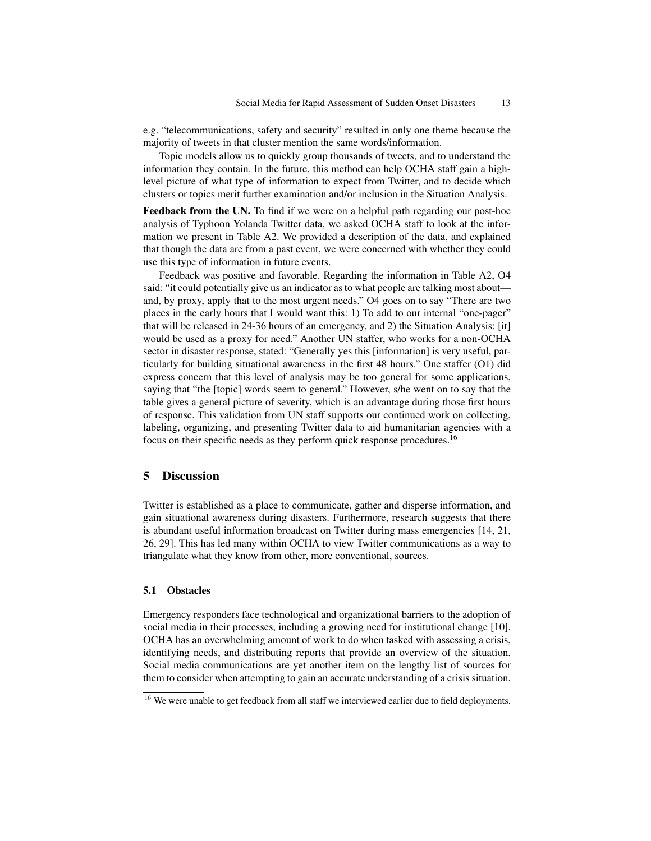e.g. "telecommunications, safety and security" resulted in only one theme because the majority of tweets in that cluster mention the same words/information.

Topic models allow us to quickly group thousands of tweets, and to understand the information they contain. In the future, this method can help OCHA staff gain a highlevel picture of what type of information to expect from Twitter, and to decide which clusters or topics merit further examination and/or inclusion in the Situation Analysis.

Feedback from the UN. To find if we were on a helpful path regarding our post-hoc analysis of Typhoon Yolanda Twitter data, we asked OCHA staff to look at the information we present in Table [A2.](#page-17-0) We provided a description of the data, and explained that though the data are from a past event, we were concerned with whether they could use this type of information in future events.

Feedback was positive and favorable. Regarding the information in Table [A2,](#page-17-0) O4 said: "it could potentially give us an indicator as to what people are talking most about and, by proxy, apply that to the most urgent needs." O4 goes on to say "There are two places in the early hours that I would want this: 1) To add to our internal "one-pager" that will be released in 24-36 hours of an emergency, and 2) the Situation Analysis: [it] would be used as a proxy for need." Another UN staffer, who works for a non-OCHA sector in disaster response, stated: "Generally yes this [information] is very useful, particularly for building situational awareness in the first 48 hours." One staffer (O1) did express concern that this level of analysis may be too general for some applications, saying that "the [topic] words seem to general." However, s/he went on to say that the table gives a general picture of severity, which is an advantage during those first hours of response. This validation from UN staff supports our continued work on collecting, labeling, organizing, and presenting Twitter data to aid humanitarian agencies with a focus on their specific needs as they perform quick response procedures.[16](#page-12-0)

## 5 Discussion

Twitter is established as a place to communicate, gather and disperse information, and gain situational awareness during disasters. Furthermore, research suggests that there is abundant useful information broadcast on Twitter during mass emergencies [\[14,](#page-14-12) [21,](#page-15-5) [26,](#page-15-12) [29\]](#page-15-9). This has led many within OCHA to view Twitter communications as a way to triangulate what they know from other, more conventional, sources.

#### 5.1 Obstacles

Emergency responders face technological and organizational barriers to the adoption of social media in their processes, including a growing need for institutional change [\[10\]](#page-14-5). OCHA has an overwhelming amount of work to do when tasked with assessing a crisis, identifying needs, and distributing reports that provide an overview of the situation. Social media communications are yet another item on the lengthy list of sources for them to consider when attempting to gain an accurate understanding of a crisis situation.

<span id="page-12-0"></span><sup>&</sup>lt;sup>16</sup> We were unable to get feedback from all staff we interviewed earlier due to field deployments.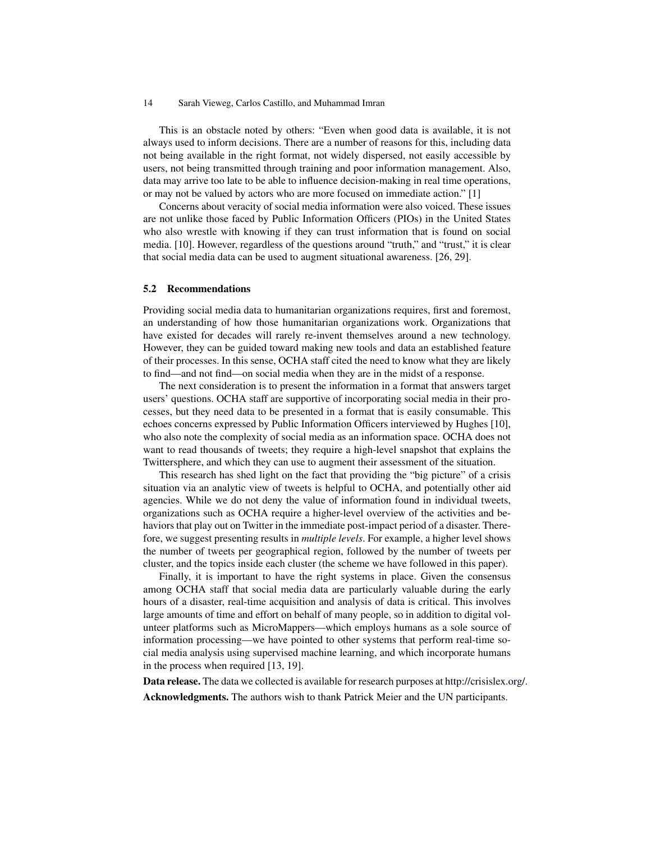This is an obstacle noted by others: "Even when good data is available, it is not always used to inform decisions. There are a number of reasons for this, including data not being available in the right format, not widely dispersed, not easily accessible by users, not being transmitted through training and poor information management. Also, data may arrive too late to be able to influence decision-making in real time operations, or may not be valued by actors who are more focused on immediate action." [\[1\]](#page-14-13)

Concerns about veracity of social media information were also voiced. These issues are not unlike those faced by Public Information Officers (PIOs) in the United States who also wrestle with knowing if they can trust information that is found on social media. [\[10\]](#page-14-5). However, regardless of the questions around "truth," and "trust," it is clear that social media data can be used to augment situational awareness. [\[26,](#page-15-12) [29\]](#page-15-9).

## 5.2 Recommendations

Providing social media data to humanitarian organizations requires, first and foremost, an understanding of how those humanitarian organizations work. Organizations that have existed for decades will rarely re-invent themselves around a new technology. However, they can be guided toward making new tools and data an established feature of their processes. In this sense, OCHA staff cited the need to know what they are likely to find—and not find—on social media when they are in the midst of a response.

The next consideration is to present the information in a format that answers target users' questions. OCHA staff are supportive of incorporating social media in their processes, but they need data to be presented in a format that is easily consumable. This echoes concerns expressed by Public Information Officers interviewed by Hughes [\[10\]](#page-14-5), who also note the complexity of social media as an information space. OCHA does not want to read thousands of tweets; they require a high-level snapshot that explains the Twittersphere, and which they can use to augment their assessment of the situation.

This research has shed light on the fact that providing the "big picture" of a crisis situation via an analytic view of tweets is helpful to OCHA, and potentially other aid agencies. While we do not deny the value of information found in individual tweets, organizations such as OCHA require a higher-level overview of the activities and behaviors that play out on Twitter in the immediate post-impact period of a disaster. Therefore, we suggest presenting results in *multiple levels*. For example, a higher level shows the number of tweets per geographical region, followed by the number of tweets per cluster, and the topics inside each cluster (the scheme we have followed in this paper).

Finally, it is important to have the right systems in place. Given the consensus among OCHA staff that social media data are particularly valuable during the early hours of a disaster, real-time acquisition and analysis of data is critical. This involves large amounts of time and effort on behalf of many people, so in addition to digital volunteer platforms such as MicroMappers—which employs humans as a sole source of information processing—we have pointed to other systems that perform real-time social media analysis using supervised machine learning, and which incorporate humans in the process when required [\[13,](#page-14-14) [19\]](#page-15-13).

Data release. The data we collected is available for research purposes at [http://crisislex.org/.](http://crisislex.org/) Acknowledgments. The authors wish to thank Patrick Meier and the UN participants.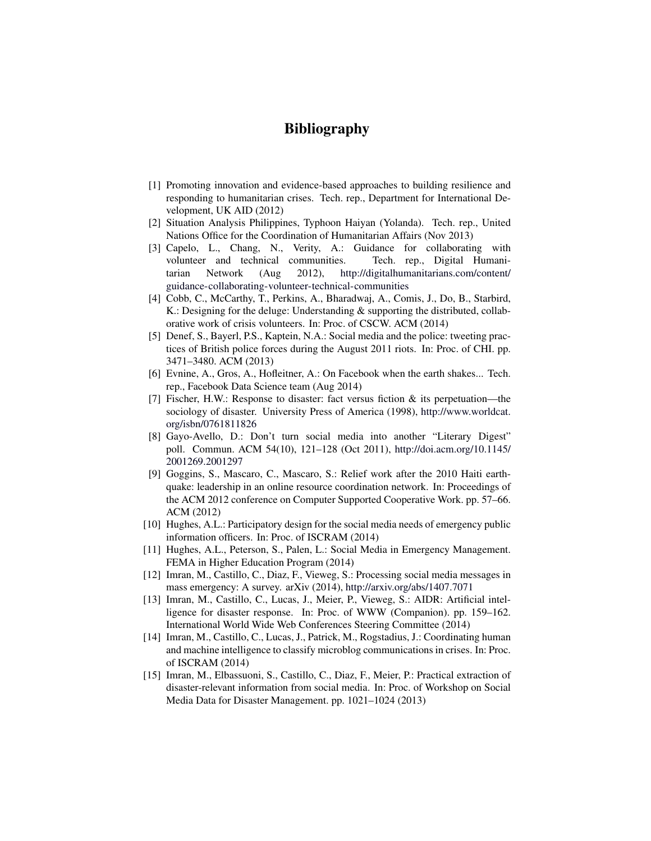# Bibliography

- <span id="page-14-13"></span>[1] Promoting innovation and evidence-based approaches to building resilience and responding to humanitarian crises. Tech. rep., Department for International Development, UK AID (2012)
- <span id="page-14-6"></span>[2] Situation Analysis Philippines, Typhoon Haiyan (Yolanda). Tech. rep., United Nations Office for the Coordination of Humanitarian Affairs (Nov 2013)
- <span id="page-14-7"></span>[3] Capelo, L., Chang, N., Verity, A.: Guidance for collaborating with volunteer and technical communities. Tech. rep., Digital Humanitarian Network (Aug 2012), [http://digitalhumanitarians.com/content/](http://digitalhumanitarians.com/content/guidance-collaborating-volunteer-technical-communities) [guidance-collaborating-volunteer-technical-communities](http://digitalhumanitarians.com/content/guidance-collaborating-volunteer-technical-communities)
- <span id="page-14-4"></span>[4] Cobb, C., McCarthy, T., Perkins, A., Bharadwaj, A., Comis, J., Do, B., Starbird, K.: Designing for the deluge: Understanding & supporting the distributed, collaborative work of crisis volunteers. In: Proc. of CSCW. ACM (2014)
- <span id="page-14-3"></span>[5] Denef, S., Bayerl, P.S., Kaptein, N.A.: Social media and the police: tweeting practices of British police forces during the August 2011 riots. In: Proc. of CHI. pp. 3471–3480. ACM (2013)
- <span id="page-14-10"></span>[6] Evnine, A., Gros, A., Hofleitner, A.: On Facebook when the earth shakes... Tech. rep., Facebook Data Science team (Aug 2014)
- <span id="page-14-8"></span>[7] Fischer, H.W.: Response to disaster: fact versus fiction & its perpetuation—the sociology of disaster. University Press of America (1998), [http://www.worldcat.](http://www.worldcat.org/isbn/0761811826) [org/isbn/0761811826](http://www.worldcat.org/isbn/0761811826)
- <span id="page-14-9"></span>[8] Gayo-Avello, D.: Don't turn social media into another "Literary Digest" poll. Commun. ACM 54(10), 121–128 (Oct 2011), [http://doi.acm.org/10.1145/](http://doi.acm.org/10.1145/2001269.2001297) [2001269.2001297](http://doi.acm.org/10.1145/2001269.2001297)
- <span id="page-14-2"></span>[9] Goggins, S., Mascaro, C., Mascaro, S.: Relief work after the 2010 Haiti earthquake: leadership in an online resource coordination network. In: Proceedings of the ACM 2012 conference on Computer Supported Cooperative Work. pp. 57–66. ACM (2012)
- <span id="page-14-5"></span>[10] Hughes, A.L.: Participatory design for the social media needs of emergency public information officers. In: Proc. of ISCRAM (2014)
- <span id="page-14-0"></span>[11] Hughes, A.L., Peterson, S., Palen, L.: Social Media in Emergency Management. FEMA in Higher Education Program (2014)
- <span id="page-14-1"></span>[12] Imran, M., Castillo, C., Diaz, F., Vieweg, S.: Processing social media messages in mass emergency: A survey. arXiv (2014), <http://arxiv.org/abs/1407.7071>
- <span id="page-14-14"></span>[13] Imran, M., Castillo, C., Lucas, J., Meier, P., Vieweg, S.: AIDR: Artificial intelligence for disaster response. In: Proc. of WWW (Companion). pp. 159–162. International World Wide Web Conferences Steering Committee (2014)
- <span id="page-14-12"></span>[14] Imran, M., Castillo, C., Lucas, J., Patrick, M., Rogstadius, J.: Coordinating human and machine intelligence to classify microblog communications in crises. In: Proc. of ISCRAM (2014)
- <span id="page-14-11"></span>[15] Imran, M., Elbassuoni, S., Castillo, C., Diaz, F., Meier, P.: Practical extraction of disaster-relevant information from social media. In: Proc. of Workshop on Social Media Data for Disaster Management. pp. 1021–1024 (2013)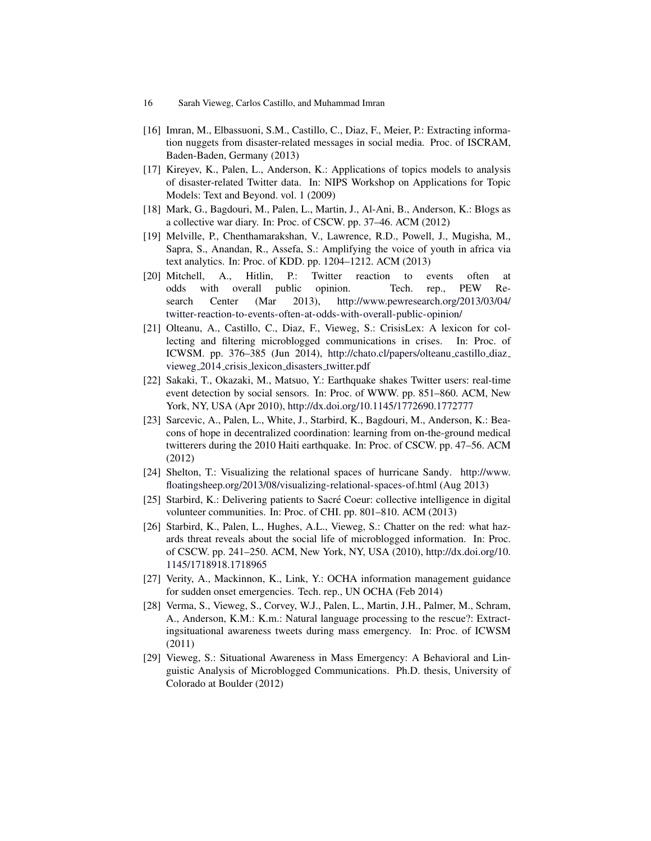- <span id="page-15-8"></span>[16] Imran, M., Elbassuoni, S.M., Castillo, C., Diaz, F., Meier, P.: Extracting information nuggets from disaster-related messages in social media. Proc. of ISCRAM, Baden-Baden, Germany (2013)
- <span id="page-15-11"></span>[17] Kireyev, K., Palen, L., Anderson, K.: Applications of topics models to analysis of disaster-related Twitter data. In: NIPS Workshop on Applications for Topic Models: Text and Beyond. vol. 1 (2009)
- <span id="page-15-10"></span>[18] Mark, G., Bagdouri, M., Palen, L., Martin, J., Al-Ani, B., Anderson, K.: Blogs as a collective war diary. In: Proc. of CSCW. pp. 37–46. ACM (2012)
- <span id="page-15-13"></span>[19] Melville, P., Chenthamarakshan, V., Lawrence, R.D., Powell, J., Mugisha, M., Sapra, S., Anandan, R., Assefa, S.: Amplifying the voice of youth in africa via text analytics. In: Proc. of KDD. pp. 1204–1212. ACM (2013)
- <span id="page-15-3"></span>[20] Mitchell, A., Hitlin, P.: Twitter reaction to events often at odds with overall public opinion. Tech. rep., PEW Research Center (Mar 2013), [http://www.pewresearch.org/2013/03/04/](http://www.pewresearch.org/2013/03/04/twitter-reaction-to-events-often-at-odds-with-overall-public-opinion/) [twitter-reaction-to-events-often-at-odds-with-overall-public-opinion/](http://www.pewresearch.org/2013/03/04/twitter-reaction-to-events-often-at-odds-with-overall-public-opinion/)
- <span id="page-15-5"></span>[21] Olteanu, A., Castillo, C., Diaz, F., Vieweg, S.: CrisisLex: A lexicon for collecting and filtering microblogged communications in crises. In: Proc. of ICWSM. pp. 376–385 (Jun 2014), [http://chato.cl/papers/olteanu](http://chato.cl/papers/olteanu_castillo_diaz_vieweg_2014_crisis_lexicon_disasters_twitter.pdf) castillo diaz vieweg 2014 crisis lexicon disasters [twitter.pdf](http://chato.cl/papers/olteanu_castillo_diaz_vieweg_2014_crisis_lexicon_disasters_twitter.pdf)
- <span id="page-15-6"></span>[22] Sakaki, T., Okazaki, M., Matsuo, Y.: Earthquake shakes Twitter users: real-time event detection by social sensors. In: Proc. of WWW. pp. 851–860. ACM, New York, NY, USA (Apr 2010), <http://dx.doi.org/10.1145/1772690.1772777>
- <span id="page-15-2"></span>[23] Sarcevic, A., Palen, L., White, J., Starbird, K., Bagdouri, M., Anderson, K.: Beacons of hope in decentralized coordination: learning from on-the-ground medical twitterers during the 2010 Haiti earthquake. In: Proc. of CSCW. pp. 47–56. ACM (2012)
- <span id="page-15-4"></span>[24] Shelton, T.: Visualizing the relational spaces of hurricane Sandy. [http://www.](http://www.floatingsheep.org/2013/08/visualizing-relational-spaces-of.html) [floatingsheep.org/2013/08/visualizing-relational-spaces-of.html](http://www.floatingsheep.org/2013/08/visualizing-relational-spaces-of.html) (Aug 2013)
- <span id="page-15-1"></span>[25] Starbird, K.: Delivering patients to Sacre Coeur: collective intelligence in digital ´ volunteer communities. In: Proc. of CHI. pp. 801–810. ACM (2013)
- <span id="page-15-12"></span>[26] Starbird, K., Palen, L., Hughes, A.L., Vieweg, S.: Chatter on the red: what hazards threat reveals about the social life of microblogged information. In: Proc. of CSCW. pp. 241–250. ACM, New York, NY, USA (2010), [http://dx.doi.org/10.](http://dx.doi.org/10.1145/1718918.1718965) [1145/1718918.1718965](http://dx.doi.org/10.1145/1718918.1718965)
- <span id="page-15-0"></span>[27] Verity, A., Mackinnon, K., Link, Y.: OCHA information management guidance for sudden onset emergencies. Tech. rep., UN OCHA (Feb 2014)
- <span id="page-15-7"></span>[28] Verma, S., Vieweg, S., Corvey, W.J., Palen, L., Martin, J.H., Palmer, M., Schram, A., Anderson, K.M.: K.m.: Natural language processing to the rescue?: Extractingsituational awareness tweets during mass emergency. In: Proc. of ICWSM (2011)
- <span id="page-15-9"></span>[29] Vieweg, S.: Situational Awareness in Mass Emergency: A Behavioral and Linguistic Analysis of Microblogged Communications. Ph.D. thesis, University of Colorado at Boulder (2012)

<sup>16</sup> Sarah Vieweg, Carlos Castillo, and Muhammad Imran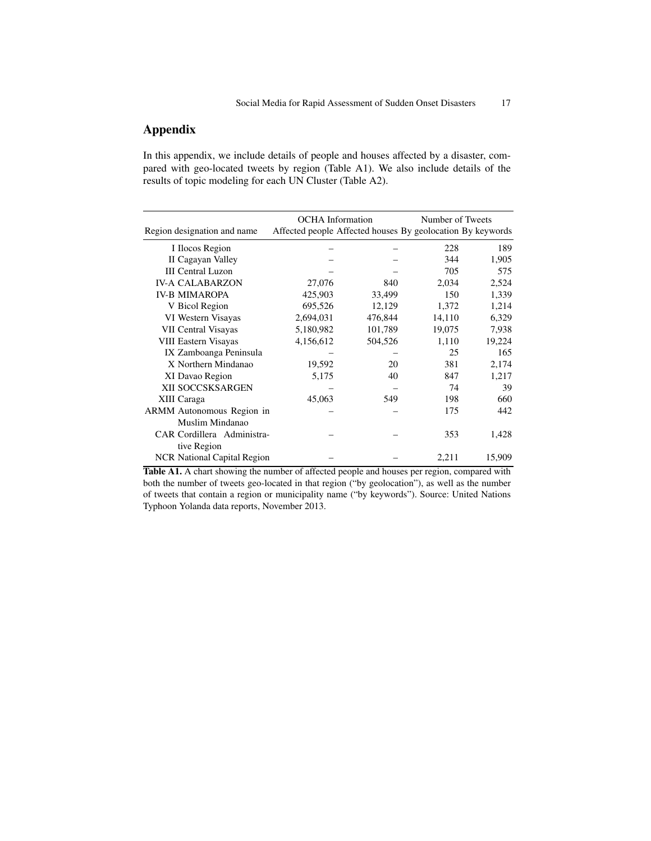# Appendix

In this appendix, we include details of people and houses affected by a disaster, compared with geo-located tweets by region (Table [A1\)](#page-16-0). We also include details of the results of topic modeling for each UN Cluster (Table [A2\)](#page-17-0).

|                                    | <b>OCHA</b> Information                                    |         | Number of Tweets |        |
|------------------------------------|------------------------------------------------------------|---------|------------------|--------|
| Region designation and name        | Affected people Affected houses By geolocation By keywords |         |                  |        |
| I Ilocos Region                    |                                                            |         | 228              | 189    |
| II Cagayan Valley                  |                                                            |         | 344              | 1,905  |
| <b>III Central Luzon</b>           |                                                            |         | 705              | 575    |
| <b>IV-A CALABARZON</b>             | 27,076                                                     | 840     | 2,034            | 2,524  |
| <b>IV-B MIMAROPA</b>               | 425,903                                                    | 33,499  | 150              | 1,339  |
| V Bicol Region                     | 695,526                                                    | 12,129  | 1,372            | 1,214  |
| VI Western Visayas                 | 2,694,031                                                  | 476,844 | 14,110           | 6,329  |
| <b>VII Central Visayas</b>         | 5,180,982                                                  | 101,789 | 19,075           | 7,938  |
| VIII Eastern Visayas               | 4,156,612                                                  | 504,526 | 1,110            | 19,224 |
| IX Zamboanga Peninsula             |                                                            |         | 25               | 165    |
| X Northern Mindanao                | 19,592                                                     | 20      | 381              | 2,174  |
| XI Davao Region                    | 5,175                                                      | 40      | 847              | 1,217  |
| XII SOCCSKSARGEN                   |                                                            |         | 74               | 39     |
| XIII Caraga                        | 45,063                                                     | 549     | 198              | 660    |
| ARMM Autonomous Region in          |                                                            |         | 175              | 442    |
| Muslim Mindanao                    |                                                            |         |                  |        |
| CAR Cordillera Administra-         |                                                            |         | 353              | 1,428  |
| tive Region                        |                                                            |         |                  |        |
| <b>NCR National Capital Region</b> |                                                            |         | 2,211            | 15,909 |

<span id="page-16-0"></span>Table A1. A chart showing the number of affected people and houses per region, compared with both the number of tweets geo-located in that region ("by geolocation"), as well as the number of tweets that contain a region or municipality name ("by keywords"). Source: United Nations Typhoon Yolanda data reports, November 2013.